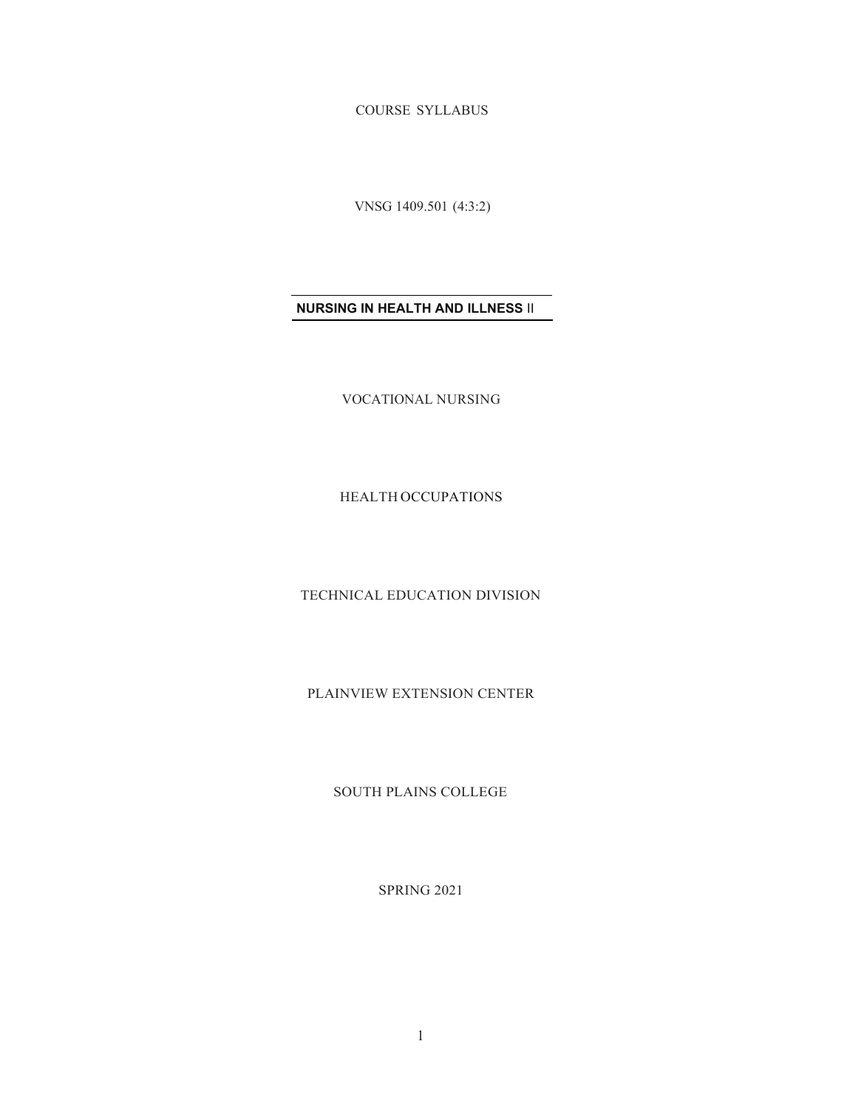COURSE SYLLABUS

VNSG 1409.501 (4:3:2)

# **NURSING IN HEALTH AND ILLNESS** II

VOCATIONAL NURSING

HEALTH OCCUPATIONS

TECHNICAL EDUCATION DIVISION

PLAINVIEW EXTENSION CENTER

SOUTH PLAINS COLLEGE

SPRING 2021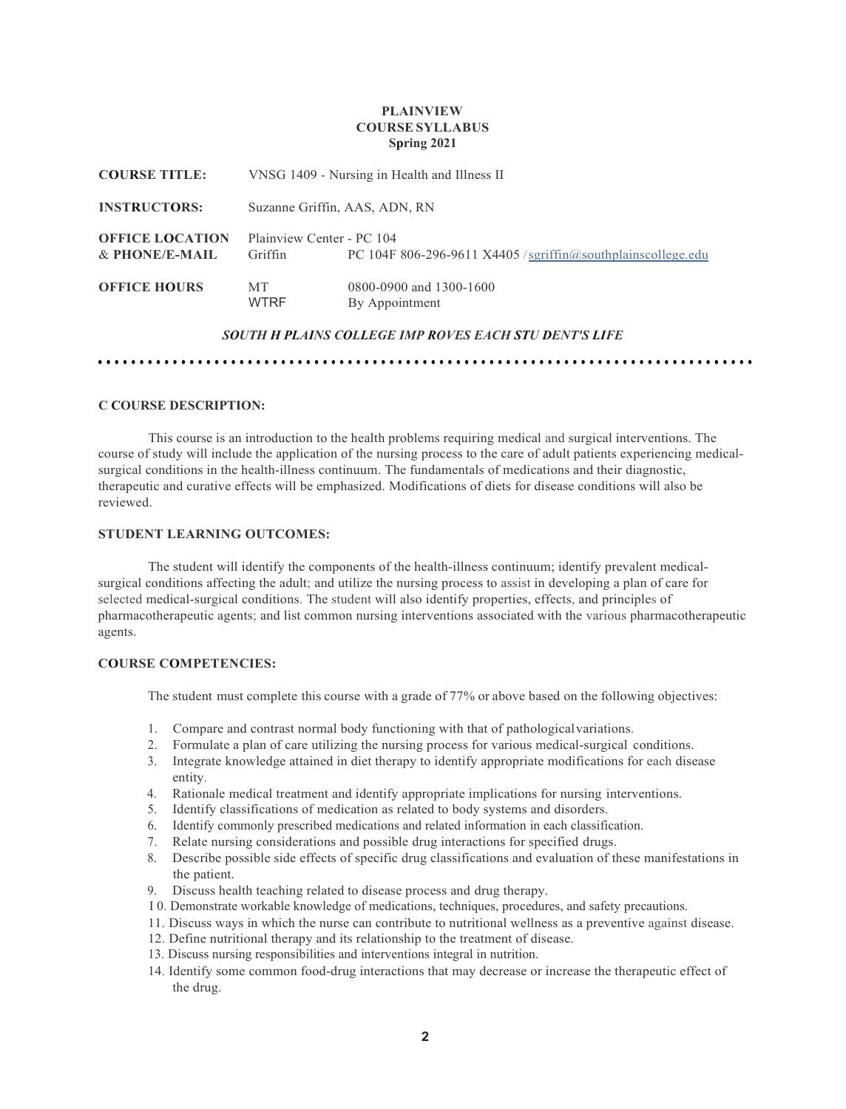## **PLAINVIEW COURSE SYLLABUS Spring 2021**

| <b>COURSE TITLE:</b>                     |                                      | VNSG 1409 - Nursing in Health and Illness II                                                       |
|------------------------------------------|--------------------------------------|----------------------------------------------------------------------------------------------------|
| <b>INSTRUCTORS:</b>                      | Suzanne Griffin, AAS, ADN, RN        |                                                                                                    |
| <b>OFFICE LOCATION</b><br>& PHONE/E-MAIL | Plainview Center - PC 104<br>Griffin | PC 104F 806-296-9611 X4405 /sgriffin@southplainscollege.edu                                        |
| <b>OFFICE HOURS</b>                      | MT<br><b>WTRF</b>                    | 0800-0900 and 1300-1600<br>By Appointment<br>SOUTH H PLAINS COLLEGE IMP ROVES EACH STU DENT'S LIFE |

## **C COURSE DESCRIPTION:**

This course is an introduction to the health problems requiring medical and surgical interventions. The course of study will include the application of the nursing process to the care of adult patients experiencing medicalsurgical conditions in the health-illness continuum. The fundamentals of medications and their diagnostic, therapeutic and curative effects will be emphasized. Modifications of diets for disease conditions will also be reviewed.

•••••••••••••••••••••••••••••••••••••••••••••••••••••••••••••••••••••••••••••••

# **STUDENT LEARNING OUTCOMES:**

The student will identify the components of the health-illness continuum; identify prevalent medicalsurgical conditions affecting the adult; and utilize the nursing process to assist in developing a plan of care for selected medical-surgical conditions. The student will also identify properties, effects, and principles of pharmacotherapeutic agents; and list common nursing interventions associated with the various pharmacotherapeutic agents.

#### **COURSE COMPETENCIES:**

The student must complete this course with a grade of 77% or above based on the following objectives:

- 1. Compare and contrast normal body functioning with that of pathologicalvariations.
- 2. Formulate a plan of care utilizing the nursing process for various medical-surgical conditions.
- 3. Integrate knowledge attained in diet therapy to identify appropriate modifications for each disease entity.
- 4. Rationale medical treatment and identify appropriate implications for nursing interventions.
- 5. Identify classifications of medication as related to body systems and disorders.
- 6. Identify commonly prescribed medications and related information in each classification.
- 7. Relate nursing considerations and possible drug interactions for specified drugs.
- 8. Describe possible side effects of specific drug classifications and evaluation of these manifestations in the patient.
- 9. Discuss health teaching related to disease process and drug therapy.
- I 0. Demonstrate workable knowledge of medications, techniques, procedures, and safety precautions.
- 11. Discuss ways in which the nurse can contribute to nutritional wellness as a preventive against disease.
- 12. Define nutritional therapy and its relationship to the treatment of disease.
- 13. Discuss nursing responsibilities and interventions integral in nutrition.
- 14. Identify some common food-drug interactions that may decrease or increase the therapeutic effect of the drug.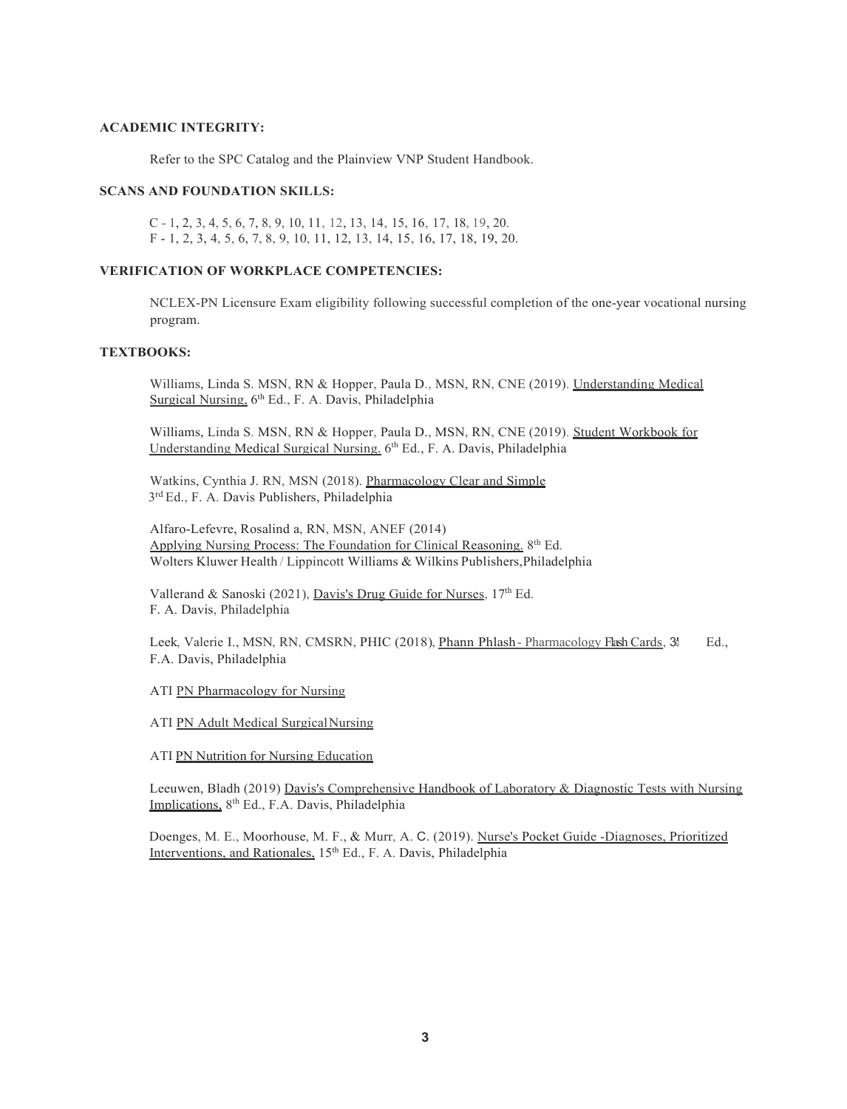#### **ACADEMIC INTEGRITY:**

Refer to the SPC Catalog and the Plainview VNP Student Handbook.

## **SCANS AND FOUNDATION SKILLS:**

C - 1, 2, 3, 4, 5, 6, 7, 8, 9, 10, 11, 12, 13, 14, 15, 16, 17, 18, 19, 20. F - 1, 2, 3, 4, 5, 6, 7, 8, 9, 10, 11, 12, 13, 14, 15, 16, 17, 18, 19, 20.

# **VERIFICATION OF WORKPLACE COMPETENCIES:**

NCLEX-PN Licensure Exam eligibility following successful completion of the one-year vocational nursing program.

# **TEXTBOOKS:**

Williams, Linda S. MSN, RN & Hopper, Paula D., MSN, RN, CNE (2019). Understanding Medical Surgical Nursing, 6<sup>th</sup> Ed., F. A. Davis, Philadelphia

Williams, Linda S. MSN, RN & Hopper, Paula D., MSN, RN, CNE (2019). Student Workbook for Understanding Medical Surgical Nursing. 6<sup>th</sup> Ed., F. A. Davis, Philadelphia

Watkins, Cynthia J. RN, MSN (2018). Pharmacology Clear and Simple 3rd Ed., F. A. Davis Publishers, Philadelphia

Alfaro-Lefevre, Rosalind a, RN, MSN, ANEF (2014) Applying Nursing Process: The Foundation for Clinical Reasoning. 8<sup>th</sup> Ed. Wolters Kluwer Health / Lippincott Williams & Wilkins Publishers,Philadelphia

Vallerand & Sanoski (2021), Davis's Drug Guide for Nurses, 17th Ed. F. A. Davis, Philadelphia

Leek, Valerie I., MSN, RN, CMSRN, PHIC (2018), *Phann Phlash-Pharmacology Flash Cards*, 3<sup>d</sup> F.A. Davis, Philadelphia Ed.,

ATI PN Pharmacology for Nursing

ATI PN Adult Medical SurgicalNursing

ATI PN Nutrition for Nursing Education

Leeuwen, Bladh (2019) Davis's Comprehensive Handbook of Laboratory & Diagnostic Tests with Nursing Implications, 8th Ed., F.A. Davis, Philadelphia

Doenges, M. E., Moorhouse, M. F., & Murr, A. C. (2019). Nurse's Pocket Guide -Diagnoses, Prioritized Interventions, and Rationales, 15<sup>th</sup> Ed., F. A. Davis, Philadelphia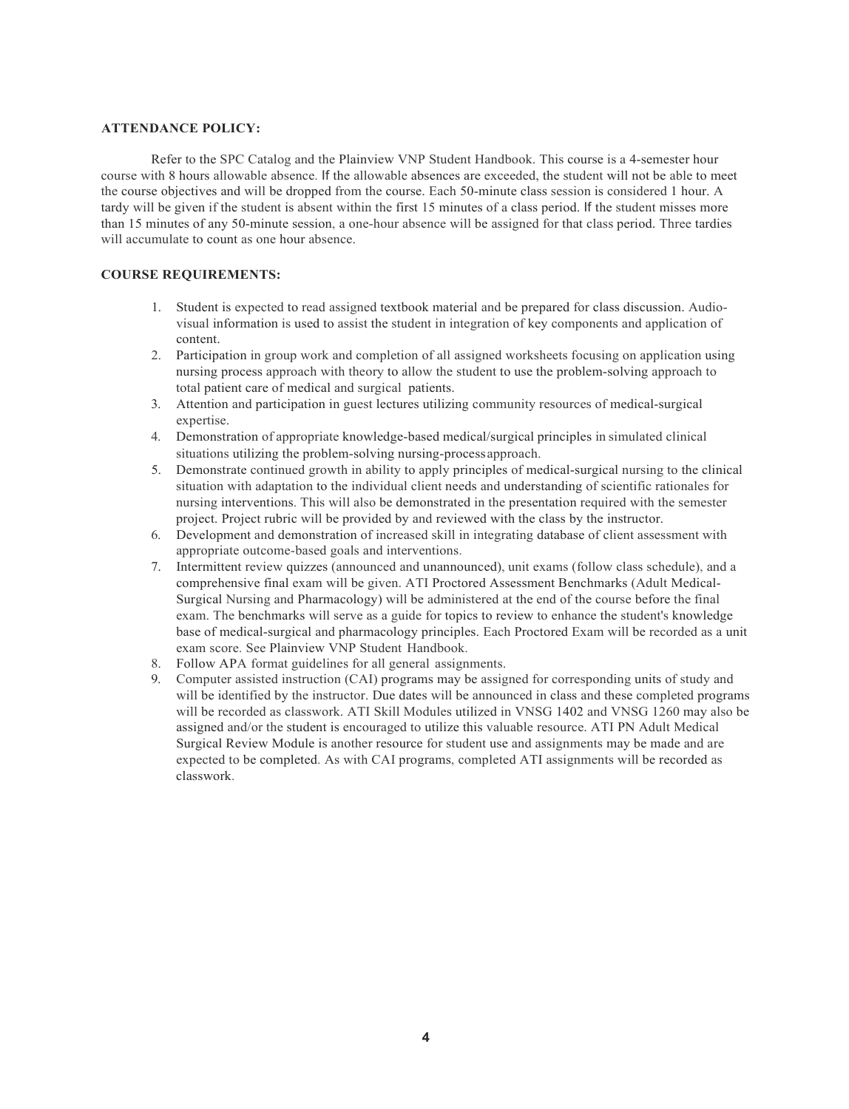## **ATTENDANCE POLICY:**

Refer to the SPC Catalog and the Plainview VNP Student Handbook. This course is a 4-semester hour course with 8 hours allowable absence. If the allowable absences are exceeded, the student will not be able to meet the course objectives and will be dropped from the course. Each 50-minute class session is considered 1 hour. A tardy will be given if the student is absent within the first 15 minutes of a class period. If the student misses more than 15 minutes of any 50-minute session, a one-hour absence will be assigned for that class period. Three tardies will accumulate to count as one hour absence.

# **COURSE REQUIREMENTS:**

- 1. Student is expected to read assigned textbook material and be prepared for class discussion. Audiovisual information is used to assist the student in integration of key components and application of content.
- 2. Participation in group work and completion of all assigned worksheets focusing on application using nursing process approach with theory to allow the student to use the problem-solving approach to total patient care of medical and surgical patients.
- 3. Attention and participation in guest lectures utilizing community resources of medical-surgical expertise.
- 4. Demonstration of appropriate knowledge-based medical/surgical principles in simulated clinical situations utilizing the problem-solving nursing-processapproach.
- 5. Demonstrate continued growth in ability to apply principles of medical-surgical nursing to the clinical situation with adaptation to the individual client needs and understanding of scientific rationales for nursing interventions. This will also be demonstrated in the presentation required with the semester project. Project rubric will be provided by and reviewed with the class by the instructor.
- 6. Development and demonstration of increased skill in integrating database of client assessment with appropriate outcome-based goals and interventions.
- 7. Intermittent review quizzes (announced and unannounced), unit exams (follow class schedule), and a comprehensive final exam will be given. ATI Proctored Assessment Benchmarks (Adult Medical-Surgical Nursing and Pharmacology) will be administered at the end of the course before the final exam. The benchmarks will serve as a guide for topics to review to enhance the student's knowledge base of medical-surgical and pharmacology principles. Each Proctored Exam will be recorded as a unit exam score. See Plainview VNP Student Handbook.
- 8. Follow APA format guidelines for all general assignments.
- 9. Computer assisted instruction (CAI) programs may be assigned for corresponding units of study and will be identified by the instructor. Due dates will be announced in class and these completed programs will be recorded as classwork. ATI Skill Modules utilized in VNSG 1402 and VNSG 1260 may also be assigned and/or the student is encouraged to utilize this valuable resource. ATI PN Adult Medical Surgical Review Module is another resource for student use and assignments may be made and are expected to be completed. As with CAI programs, completed ATI assignments will be recorded as classwork.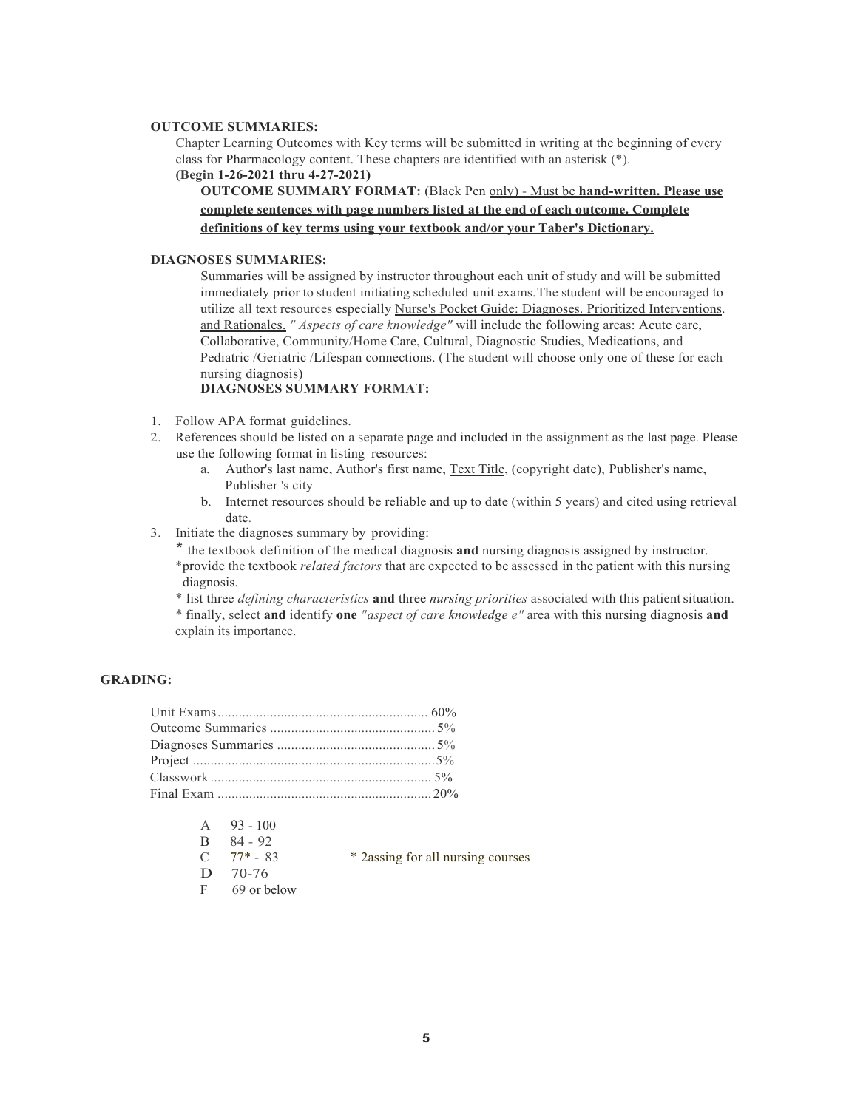#### **OUTCOME SUMMARIES:**

Chapter Learning Outcomes with Key terms will be submitted in writing at the beginning of every class for Pharmacology content. These chapters are identified with an asterisk (\*). **(Begin 1-26-2021 thru 4-27-2021)**

# **OUTCOME SUMMARY FORMAT:** (Black Pen only) - Must be **hand-written. Please use complete sentences with page numbers listed at the end of each outcome. Complete definitions of key terms using your textbook and/or your Taber's Dictionary.**

#### **DIAGNOSES SUMMARIES:**

Summaries will be assigned by instructor throughout each unit of study and will be submitted immediately prior to student initiating scheduled unit exams.The student will be encouraged to utilize all text resources especially Nurse's Pocket Guide: Diagnoses. Prioritized Interventions. and Rationales. *" Aspects of care knowledge"* will include the following areas: Acute care, Collaborative, Community/Home Care, Cultural, Diagnostic Studies, Medications, and Pediatric /Geriatric /Lifespan connections. (The student will choose only one of these for each nursing diagnosis)

## **DIAGNOSES SUMMARY FORMAT:**

- 1. Follow APA format guidelines.
- 2. References should be listed on a separate page and included in the assignment as the last page. Please use the following format in listing resources:
	- a. Author's last name, Author's first name, Text Title, (copyright date), Publisher's name, Publisher 's city
	- b. Internet resources should be reliable and up to date (within 5 years) and cited using retrieval date.
- 3. Initiate the diagnoses summary by providing:

\* the textbook definition of the medical diagnosis **and** nursing diagnosis assigned by instructor. \*provide the textbook *related factors* that are expected to be assessed in the patient with this nursing diagnosis.

\* list three *defining characteristics* **and** three *nursing priorities* associated with this patientsituation.

\* finally, select **and** identify **one** *"aspect of care knowledge e"* area with this nursing diagnosis **and** explain its importance.

# **GRADING:**

| A            | $93 - 100$     |                                    |
|--------------|----------------|------------------------------------|
| $\mathbf{B}$ | 84 - 92        |                                    |
|              | $C = 77* - 83$ | * 2 assing for all nursing courses |
|              | $D = 70-76$    |                                    |
| F            | 69 or below    |                                    |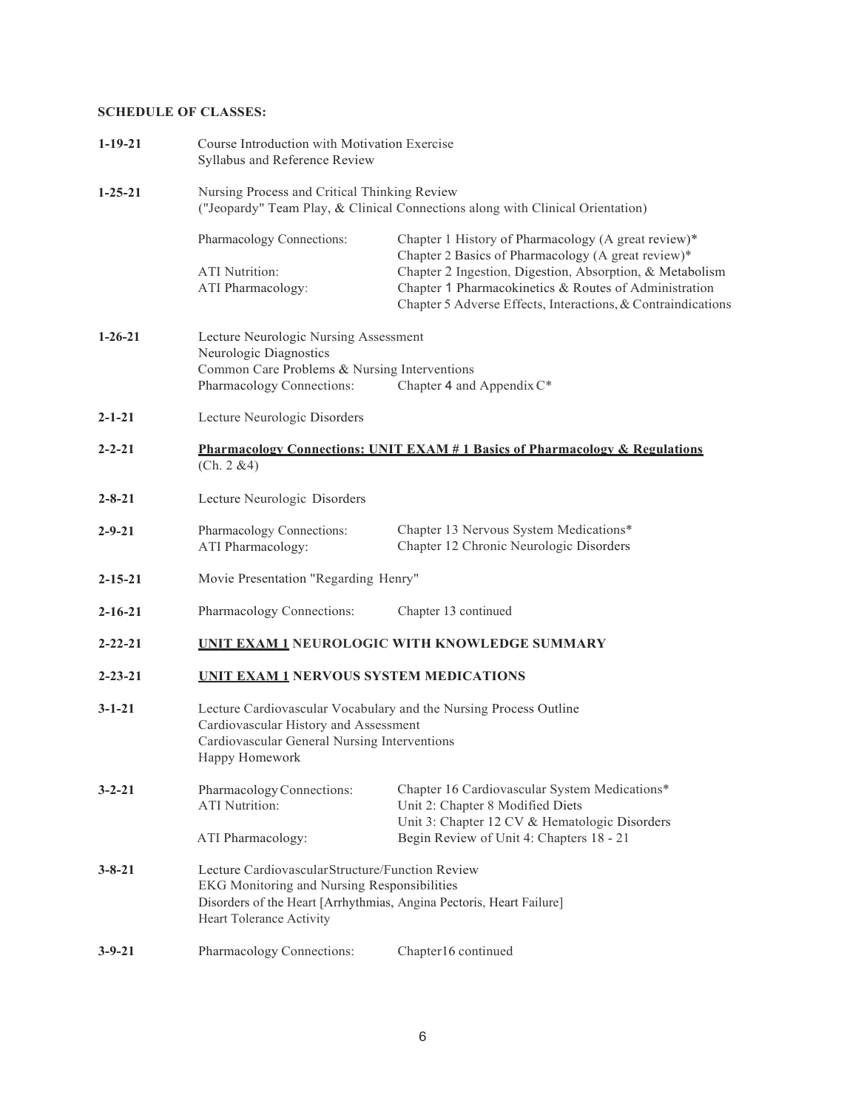# **SCHEDULE OF CLASSES:**

| $1-19-21$     | Course Introduction with Motivation Exercise<br>Syllabus and Reference Review                                                                                                |                                                                                                                                                                                   |  |  |
|---------------|------------------------------------------------------------------------------------------------------------------------------------------------------------------------------|-----------------------------------------------------------------------------------------------------------------------------------------------------------------------------------|--|--|
| $1 - 25 - 21$ | Nursing Process and Critical Thinking Review<br>("Jeopardy" Team Play, & Clinical Connections along with Clinical Orientation)                                               |                                                                                                                                                                                   |  |  |
|               | Pharmacology Connections:                                                                                                                                                    | Chapter 1 History of Pharmacology (A great review)*<br>Chapter 2 Basics of Pharmacology (A great review)*                                                                         |  |  |
|               | <b>ATI</b> Nutrition:<br>ATI Pharmacology:                                                                                                                                   | Chapter 2 Ingestion, Digestion, Absorption, & Metabolism<br>Chapter 1 Pharmacokinetics & Routes of Administration<br>Chapter 5 Adverse Effects, Interactions, & Contraindications |  |  |
| $1 - 26 - 21$ | Lecture Neurologic Nursing Assessment<br>Neurologic Diagnostics<br>Common Care Problems & Nursing Interventions                                                              |                                                                                                                                                                                   |  |  |
|               | Pharmacology Connections:                                                                                                                                                    | Chapter 4 and Appendix $C^*$                                                                                                                                                      |  |  |
| $2 - 1 - 21$  | Lecture Neurologic Disorders                                                                                                                                                 |                                                                                                                                                                                   |  |  |
| $2 - 2 - 21$  | (Ch. 2 & 4)                                                                                                                                                                  | <b>Pharmacology Connections: UNIT EXAM # 1 Basics of Pharmacology &amp; Regulations</b>                                                                                           |  |  |
| $2 - 8 - 21$  | Lecture Neurologic Disorders                                                                                                                                                 |                                                                                                                                                                                   |  |  |
| $2 - 9 - 21$  | Pharmacology Connections:<br>ATI Pharmacology:                                                                                                                               | Chapter 13 Nervous System Medications*<br>Chapter 12 Chronic Neurologic Disorders                                                                                                 |  |  |
| $2 - 15 - 21$ |                                                                                                                                                                              | Movie Presentation "Regarding Henry"                                                                                                                                              |  |  |
| $2 - 16 - 21$ | Pharmacology Connections:                                                                                                                                                    | Chapter 13 continued                                                                                                                                                              |  |  |
| $2 - 22 - 21$ |                                                                                                                                                                              | <b>UNIT EXAM 1 NEUROLOGIC WITH KNOWLEDGE SUMMARY</b>                                                                                                                              |  |  |
| $2 - 23 - 21$ | <b>UNIT EXAM 1 NERVOUS SYSTEM MEDICATIONS</b>                                                                                                                                |                                                                                                                                                                                   |  |  |
| $3 - 1 - 21$  | Lecture Cardiovascular Vocabulary and the Nursing Process Outline<br>Cardiovascular History and Assessment<br>Cardiovascular General Nursing Interventions<br>Happy Homework |                                                                                                                                                                                   |  |  |
| $3 - 2 - 21$  | Pharmacology Connections:<br><b>ATI</b> Nutrition:                                                                                                                           | Chapter 16 Cardiovascular System Medications*<br>Unit 2: Chapter 8 Modified Diets<br>Unit 3: Chapter 12 CV & Hematologic Disorders                                                |  |  |
|               | ATI Pharmacology:                                                                                                                                                            | Begin Review of Unit 4: Chapters 18 - 21                                                                                                                                          |  |  |
| $3 - 8 - 21$  |                                                                                                                                                                              | Lecture Cardiovascular Structure/Function Review<br>EKG Monitoring and Nursing Responsibilities<br>Disorders of the Heart [Arrhythmias, Angina Pectoris, Heart Failure]           |  |  |
|               | Heart Tolerance Activity                                                                                                                                                     |                                                                                                                                                                                   |  |  |
| $3 - 9 - 21$  | Pharmacology Connections:                                                                                                                                                    | Chapter16 continued                                                                                                                                                               |  |  |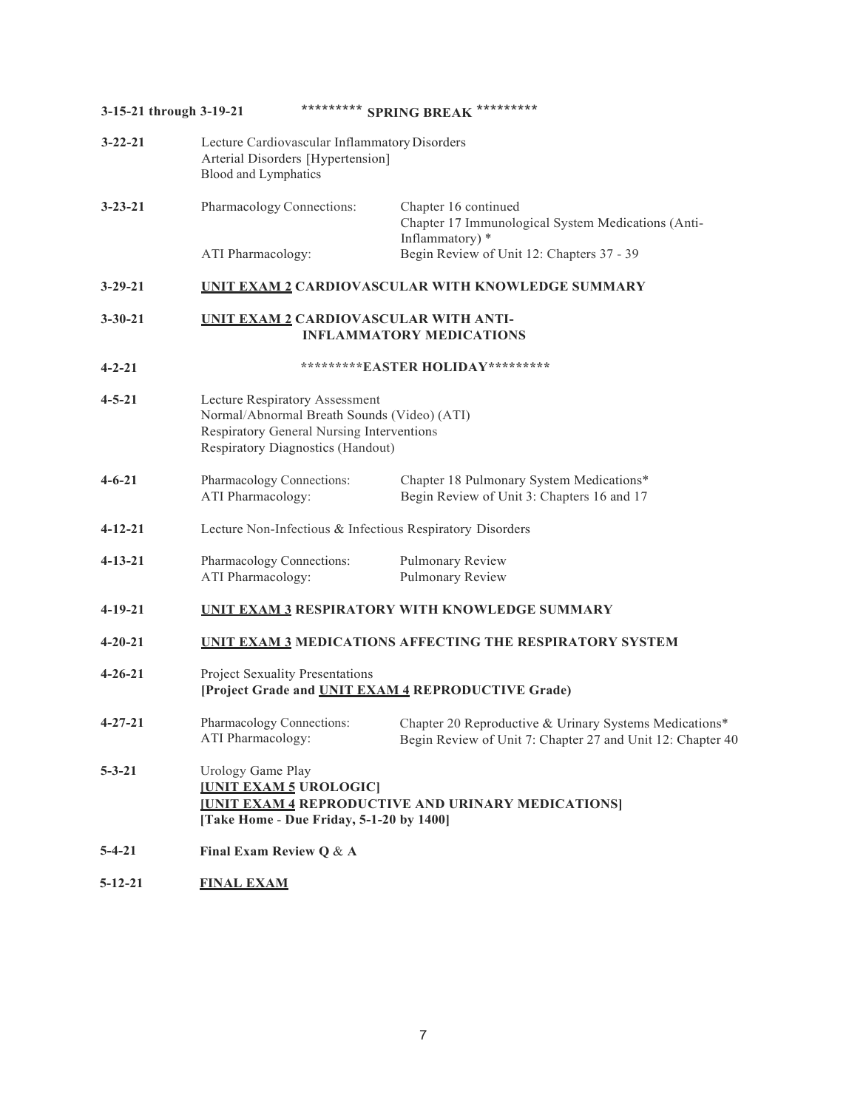| 3-15-21 through 3-19-21 |                                                                                                                                                                 | ********* SPRING BREAK *********                                                                                     |
|-------------------------|-----------------------------------------------------------------------------------------------------------------------------------------------------------------|----------------------------------------------------------------------------------------------------------------------|
| $3 - 22 - 21$           | Lecture Cardiovascular Inflammatory Disorders<br>Arterial Disorders [Hypertension]<br>Blood and Lymphatics                                                      |                                                                                                                      |
| $3 - 23 - 21$           | Pharmacology Connections:                                                                                                                                       | Chapter 16 continued<br>Chapter 17 Immunological System Medications (Anti-<br>Inflammatory) *                        |
|                         | ATI Pharmacology:                                                                                                                                               | Begin Review of Unit 12: Chapters 37 - 39                                                                            |
| $3 - 29 - 21$           |                                                                                                                                                                 | <b>UNIT EXAM 2 CARDIOVASCULAR WITH KNOWLEDGE SUMMARY</b>                                                             |
| $3 - 30 - 21$           | UNIT EXAM2 CARDIOVASCULAR WITH ANTI-                                                                                                                            | <b>INFLAMMATORY MEDICATIONS</b>                                                                                      |
| $4 - 2 - 21$            |                                                                                                                                                                 | **********EASTER HOLIDAY*********                                                                                    |
| $4 - 5 - 21$            | Lecture Respiratory Assessment<br>Normal/Abnormal Breath Sounds (Video) (ATI)<br>Respiratory General Nursing Interventions<br>Respiratory Diagnostics (Handout) |                                                                                                                      |
| $4 - 6 - 21$            | Pharmacology Connections:<br>ATI Pharmacology:                                                                                                                  | Chapter 18 Pulmonary System Medications*<br>Begin Review of Unit 3: Chapters 16 and 17                               |
| $4 - 12 - 21$           | Lecture Non-Infectious & Infectious Respiratory Disorders                                                                                                       |                                                                                                                      |
| $4 - 13 - 21$           | Pharmacology Connections:<br>ATI Pharmacology:                                                                                                                  | Pulmonary Review<br>Pulmonary Review                                                                                 |
| $4 - 19 - 21$           |                                                                                                                                                                 | <b>UNIT EXAM 3 RESPIRATORY WITH KNOWLEDGE SUMMARY</b>                                                                |
| $4 - 20 - 21$           |                                                                                                                                                                 | <b>UNIT EXAM 3 MEDICATIONS AFFECTING THE RESPIRATORY SYSTEM</b>                                                      |
| $4 - 26 - 21$           | Project Sexuality Presentations<br>[Project Grade and UNIT EXAM 4 REPRODUCTIVE Grade)                                                                           |                                                                                                                      |
| $4 - 27 - 21$           | Pharmacology Connections:<br>ATI Pharmacology:                                                                                                                  | Chapter 20 Reproductive & Urinary Systems Medications*<br>Begin Review of Unit 7: Chapter 27 and Unit 12: Chapter 40 |
| $5 - 3 - 21$            | Urology Game Play<br><b>IUNIT EXAM 5 UROLOGIC</b><br>[Take Home - Due Friday, 5-1-20 by 1400]                                                                   | <b>IUNIT EXAM 4 REPRODUCTIVE AND URINARY MEDICATIONS</b>                                                             |
| $5 - 4 - 21$            | Final Exam Review Q & A                                                                                                                                         |                                                                                                                      |
|                         |                                                                                                                                                                 |                                                                                                                      |

**5-12-21 FINAL EXAM**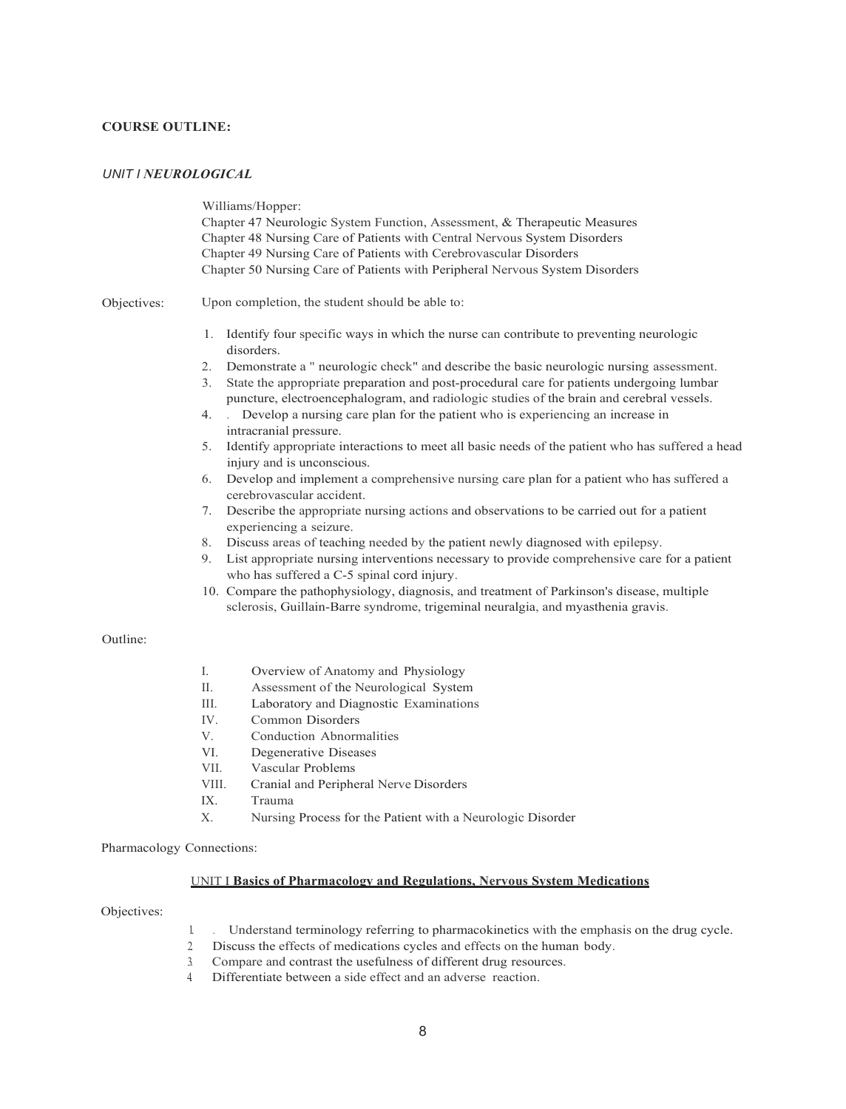# **COURSE OUTLINE:**

## *UNIT I NEUROLOGICAL*

Williams/Hopper: Chapter 47 Neurologic System Function, Assessment, & Therapeutic Measures Chapter 48 Nursing Care of Patients with Central Nervous System Disorders Chapter 49 Nursing Care of Patients with Cerebrovascular Disorders Chapter 50 Nursing Care of Patients with Peripheral Nervous System Disorders Objectives: Upon completion, the student should be able to: 1. Identify four specific ways in which the nurse can contribute to preventing neurologic disorders. 2. Demonstrate a " neurologic check" and describe the basic neurologic nursing assessment. 3. State the appropriate preparation and post-procedural care for patients undergoing lumbar puncture, electroencephalogram, and radiologic studies of the brain and cerebral vessels. 4. . Develop a nursing care plan for the patient who is experiencing an increase in intracranial pressure. 5. Identify appropriate interactions to meet all basic needs of the patient who has suffered a head injury and is unconscious. 6. Develop and implement a comprehensive nursing care plan for a patient who has suffered a cerebrovascular accident. 7. Describe the appropriate nursing actions and observations to be carried out for a patient experiencing a seizure. 8. Discuss areas of teaching needed by the patient newly diagnosed with epilepsy. 9. List appropriate nursing interventions necessary to provide comprehensive care for a patient who has suffered a C-5 spinal cord injury. 10. Compare the pathophysiology, diagnosis, and treatment of Parkinson's disease, multiple sclerosis, Guillain-Barre syndrome, trigeminal neuralgia, and myasthenia gravis. Outline: I. Overview of Anatomy and Physiology II. Assessment of the Neurological System III. Laboratory and Diagnostic Examinations IV. Common Disorders V. Conduction Abnormalities VI. Degenerative Diseases VII. Vascular Problems VIII. Cranial and Peripheral Nerve Disorders IX. Trauma X. Nursing Process for the Patient with a Neurologic Disorder Pharmacology Connections:

## UNIT I **Basics of Pharmacology and Regulations, Nervous System Medications**

Objectives:

- 1. . Understand terminology referring to pharmacokinetics with the emphasis on the drug cycle.
- 2. Discuss the effects of medications cycles and effects on the human body.
- 3. Compare and contrast the usefulness of different drug resources.
- 4. Differentiate between a side effect and an adverse reaction.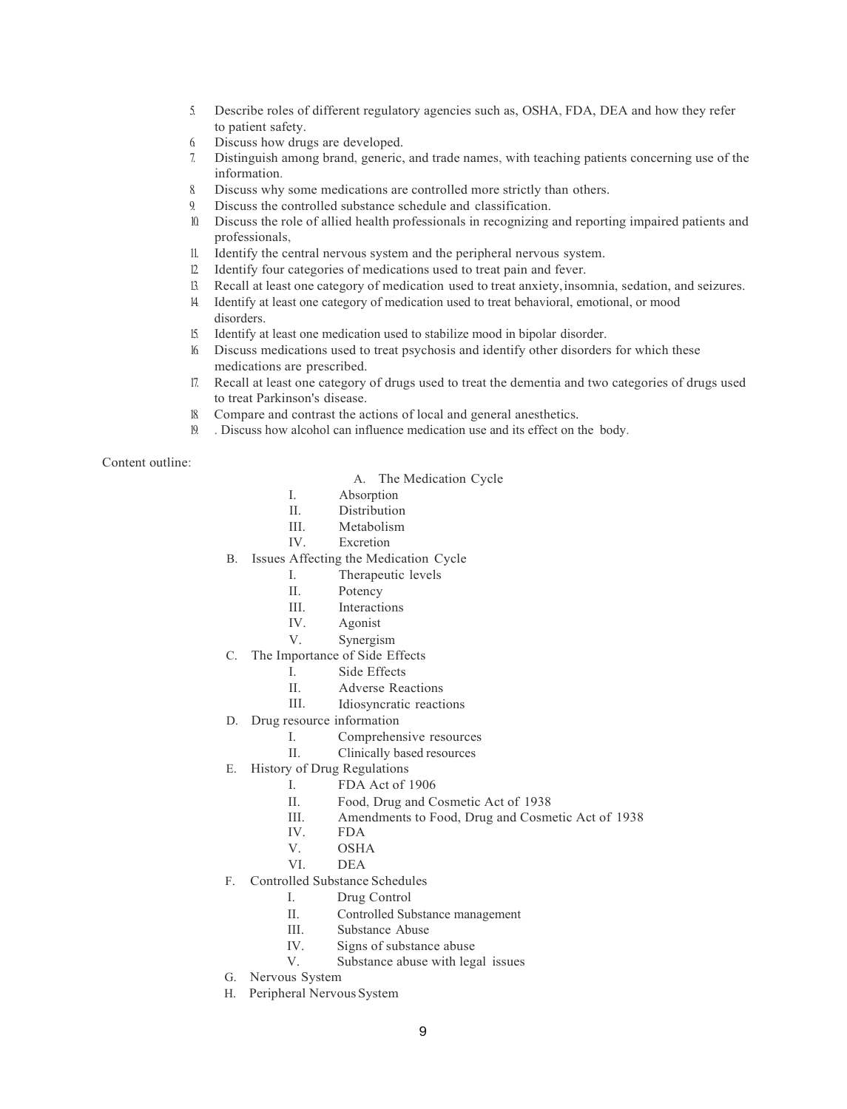- 5. Describe roles of different regulatory agencies such as, OSHA, FDA, DEA and how they refer to patient safety.
- 6. Discuss how drugs are developed.
- 7. Distinguish among brand, generic, and trade names, with teaching patients concerning use of the information.
- 8. Discuss why some medications are controlled more strictly than others.
- 9. Discuss the controlled substance schedule and classification.
- 10. Discuss the role of allied health professionals in recognizing and reporting impaired patients and professionals,
- 11. Identify the central nervous system and the peripheral nervous system.
- 12. Identify four categories of medications used to treat pain and fever.
- 13. Recall at least one category of medication used to treat anxiety,insomnia, sedation, and seizures.
- 14. Identify at least one category of medication used to treat behavioral, emotional, or mood disorders.
- 15. Identify at least one medication used to stabilize mood in bipolar disorder.
- 16. Discuss medications used to treat psychosis and identify other disorders for which these medications are prescribed.
- 17. Recall at least one category of drugs used to treat the dementia and two categories of drugs used to treat Parkinson's disease.
- 18. Compare and contrast the actions of local and general anesthetics.
- 19. . Discuss how alcohol can influence medication use and its effect on the body.

Content outline:

- A. The Medication Cycle
- I. Absorption
- II. Distribution<br>III. Metabolism
- Metabolism
- IV. Excretion
- B. Issues Affecting the Medication Cycle
	- I. Therapeutic levels
	- II. Potency<br>III. Interacti
	- III. Interactions<br>IV. Agonist
	- Agonist
	- V. Synergism
- C. The Importance of Side Effects
	- I. Side Effects
	- II. Adverse Reactions
	- III. Idiosyncratic reactions
- D. Drug resource information
	- I. Comprehensive resources
	- II. Clinically based resources
- E. History of Drug Regulations
	- I. FDA Act of 1906
	- II. Food, Drug and Cosmetic Act of 1938
	- III. Amendments to Food, Drug and Cosmetic Act of 1938<br>IV. FDA
		- FDA
	- V. OSHA<br>VI. DEA
		- $DEA$
- F. Controlled Substance Schedules
	- I. Drug Control
	- II. Controlled Substance management
	- III. Substance Abuse
	- IV. Signs of substance abuse
	- V. Substance abuse with legal issues
- G. Nervous System
- H. Peripheral Nervous System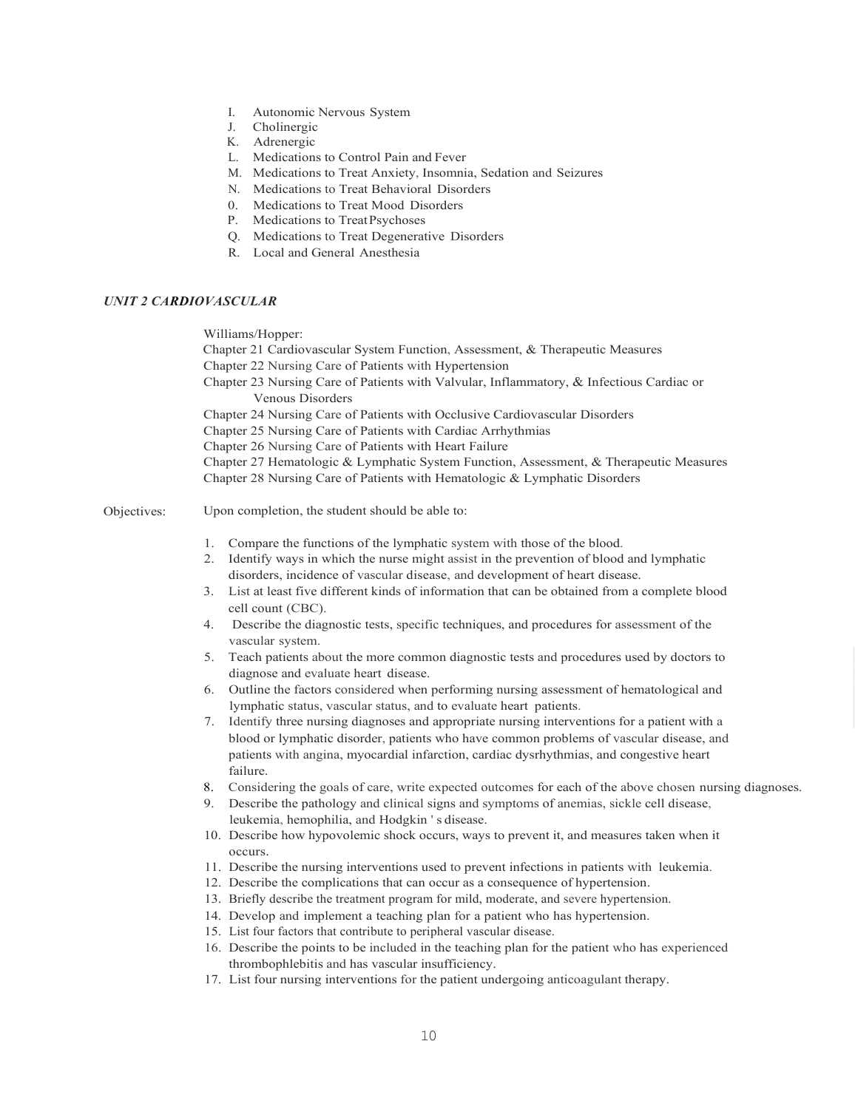- I. Autonomic Nervous System
- J. Cholinergic
- K. Adrenergic
- L. Medications to Control Pain and Fever
- M. Medications to Treat Anxiety, Insomnia, Sedation and Seizures
- N. Medications to Treat Behavioral Disorders
- 0. Medications to Treat Mood Disorders
- P. Medications to TreatPsychoses
- Q. Medications to Treat Degenerative Disorders
- R. Local and General Anesthesia

# *UNIT 2 CARDIOVASCULAR*

Williams/Hopper:

- Chapter 21 Cardiovascular System Function, Assessment, & Therapeutic Measures
- Chapter 22 Nursing Care of Patients with Hypertension
- Chapter 23 Nursing Care of Patients with Valvular, Inflammatory, & Infectious Cardiac or Venous Disorders
- Chapter 24 Nursing Care of Patients with Occlusive Cardiovascular Disorders
- Chapter 25 Nursing Care of Patients with Cardiac Arrhythmias
- Chapter 26 Nursing Care of Patients with Heart Failure
- Chapter 27 Hematologic & Lymphatic System Function, Assessment, & Therapeutic Measures

Chapter 28 Nursing Care of Patients with Hematologic & Lymphatic Disorders

Objectives: Upon completion, the student should be able to:

- 1. Compare the functions of the lymphatic system with those of the blood.
- 2. Identify ways in which the nurse might assist in the prevention of blood and lymphatic disorders, incidence of vascular disease, and development of heart disease.
- 3. List at least five different kinds of information that can be obtained from a complete blood cell count (CBC).
- 4. Describe the diagnostic tests, specific techniques, and procedures for assessment of the vascular system.
- 5. Teach patients about the more common diagnostic tests and procedures used by doctors to diagnose and evaluate heart disease.
- 6. Outline the factors considered when performing nursing assessment of hematological and lymphatic status, vascular status, and to evaluate heart patients.
- 7. Identify three nursing diagnoses and appropriate nursing interventions for a patient with a blood or lymphatic disorder, patients who have common problems of vascular disease, and patients with angina, myocardial infarction, cardiac dysrhythmias, and congestive heart failure.
- 8. Considering the goals of care, write expected outcomes for each of the above chosen nursing diagnoses.
- 9. Describe the pathology and clinical signs and symptoms of anemias, sickle cell disease, leukemia, hemophilia, and Hodgkin ' s disease.
- 10. Describe how hypovolemic shock occurs, ways to prevent it, and measures taken when it occurs.
- 11. Describe the nursing interventions used to prevent infections in patients with leukemia.
- 12. Describe the complications that can occur as a consequence of hypertension.
- 13. Briefly describe the treatment program for mild, moderate, and severe hypertension.
- 14. Develop and implement a teaching plan for a patient who has hypertension.
- 15. List four factors that contribute to peripheral vascular disease.
- 16. Describe the points to be included in the teaching plan for the patient who has experienced thrombophlebitis and has vascular insufficiency.
- 17. List four nursing interventions for the patient undergoing anticoagulant therapy.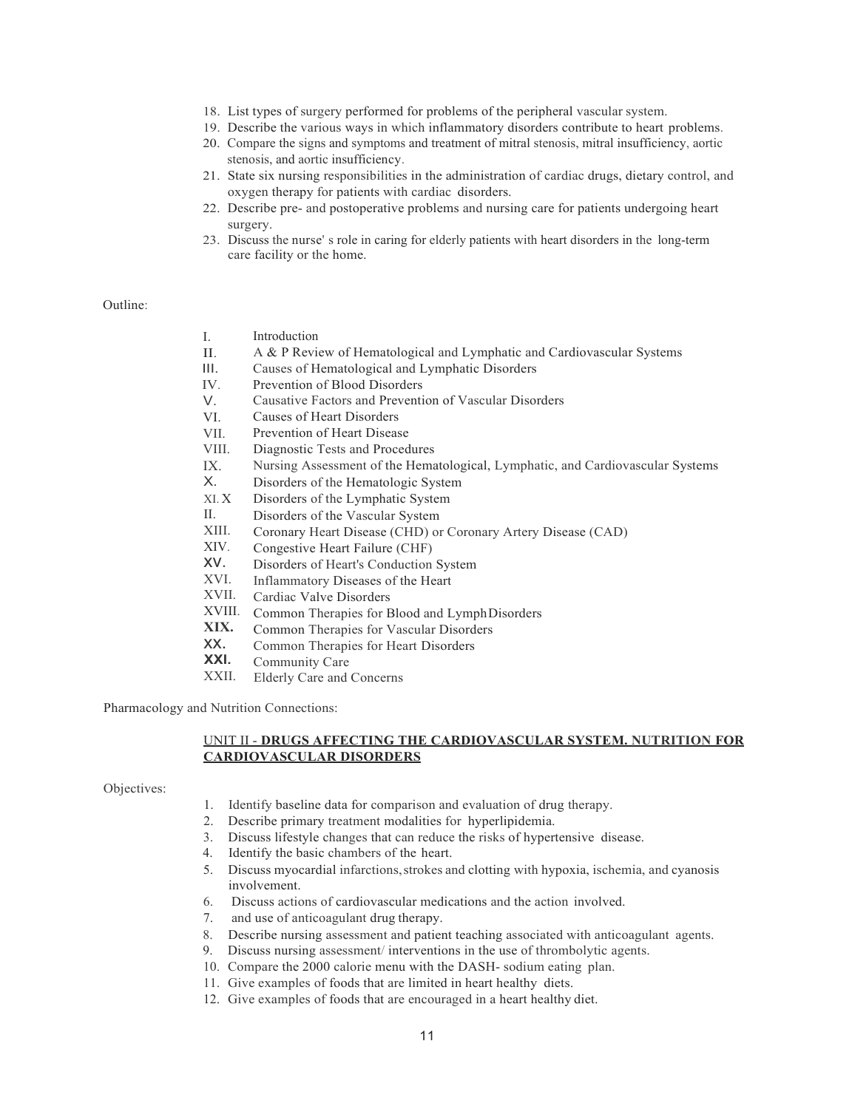- 18. List types of surgery performed for problems of the peripheral vascular system.
- 19. Describe the various ways in which inflammatory disorders contribute to heart problems.
- 20. Compare the signs and symptoms and treatment of mitral stenosis, mitral insufficiency, aortic stenosis, and aortic insufficiency.
- 21. State six nursing responsibilities in the administration of cardiac drugs, dietary control, and oxygen therapy for patients with cardiac disorders.
- 22. Describe pre- and postoperative problems and nursing care for patients undergoing heart surgery.
- 23. Discuss the nurse' s role in caring for elderly patients with heart disorders in the long-term care facility or the home.

# Outline:

- I. Introduction
- II. A & P Review of Hematological and Lymphatic and Cardiovascular Systems
- III. Causes of Hematological and Lymphatic Disorders
- IV. Prevention of Blood Disorders
- V. Causative Factors and Prevention of Vascular Disorders
- VI. Causes of Heart Disorders
- VII. Prevention of Heart Disease
- VIII. Diagnostic Tests and Procedures
- IX. Nursing Assessment of the Hematological, Lymphatic, and Cardiovascular Systems
- X. Disorders of the Hematologic System
- XI. X Disorders of the Lymphatic System
- II. Disorders of the Vascular System
- XIII. Coronary Heart Disease (CHD) or Coronary Artery Disease (CAD)
- XIV. Congestive Heart Failure (CHF)
- xv. Disorders of Heart's Conduction System
- XVI. Inflammatory Diseases of the Heart
- XVII. Cardiac Valve Disorders
- XVIII. Common Therapies for Blood and LymphDisorders
- **XIX.** Common Therapies for Vascular Disorders
- xx. Common Therapies for Heart Disorders
- **XXI.** Community Care
- XXII. Elderly Care and Concerns

Pharmacology and Nutrition Connections:

# UNIT II - **DRUGS AFFECTING THE CARDIOVASCULAR SYSTEM. NUTRITION FOR CARDIOVASCULAR DISORDERS**

Objectives:

- 1. Identify baseline data for comparison and evaluation of drug therapy.
- 2. Describe primary treatment modalities for hyperlipidemia.
- 3. Discuss lifestyle changes that can reduce the risks of hypertensive disease.
- 4. Identify the basic chambers of the heart.
- 5. Discuss myocardial infarctions,strokes and clotting with hypoxia, ischemia, and cyanosis involvement.
- 6. Discuss actions of cardiovascular medications and the action involved.
- 7. and use of anticoagulant drug therapy.
- 8. Describe nursing assessment and patient teaching associated with anticoagulant agents.
- 9. Discuss nursing assessment/ interventions in the use of thrombolytic agents.
- 10. Compare the 2000 calorie menu with the DASH- sodium eating plan.
- 11. Give examples of foods that are limited in heart healthy diets.
- 12. Give examples of foods that are encouraged in a heart healthy diet.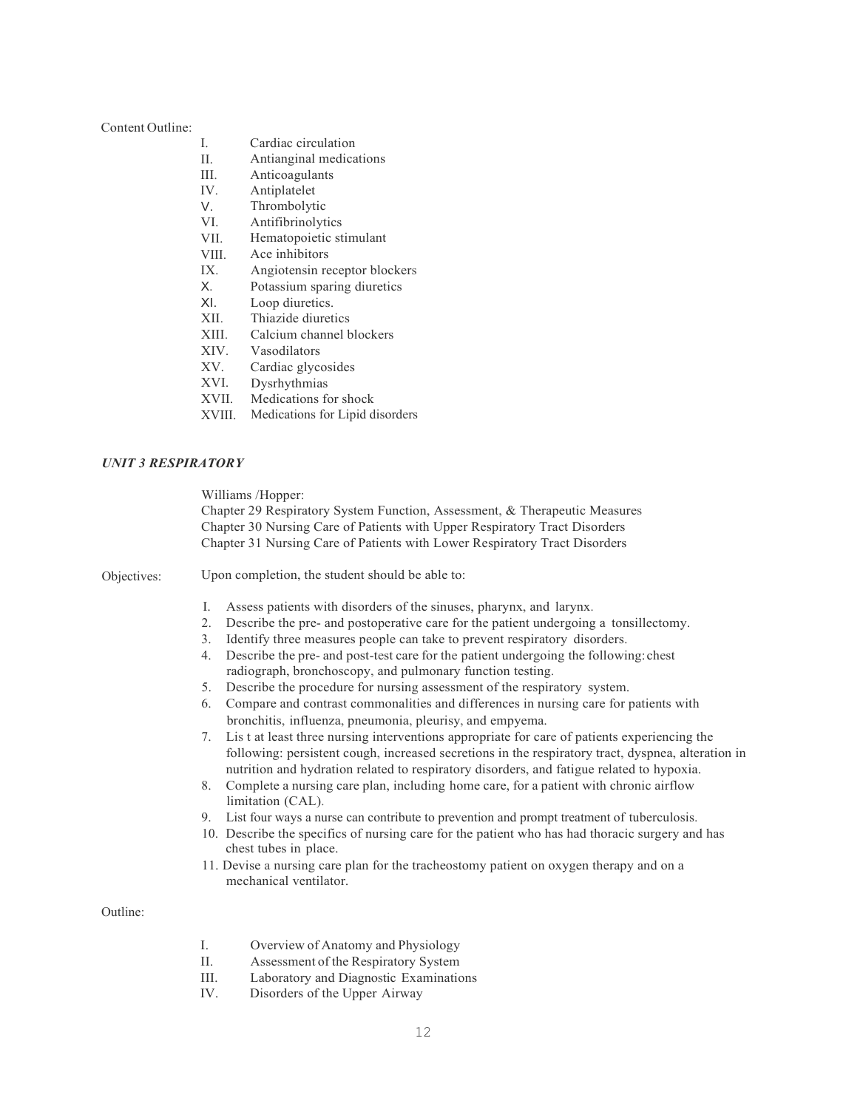#### Content Outline:

- I. Cardiac circulation
- II. Antianginal medications
- III. Anticoagulants
- IV. Antiplatelet
- V. Thrombolytic
- VI. Antifibrinolytics
- VII. Hematopoietic stimulant
- VIII. Ace inhibitors
- IX. Angiotensin receptor blockers
- X. Potassium sparing diuretics
- XI. Loop diuretics.
- XII. Thiazide diuretics
- XIII. Calcium channel blockers
- XIV. Vasodilators
- XV. Cardiac glycosides
- XVI. Dysrhythmias
- XVII. Medications for shock
- XVIII. Medications for Lipid disorders

# *UNIT 3 RESPIRATORY*

Williams /Hopper:

Chapter 29 Respiratory System Function, Assessment, & Therapeutic Measures Chapter 30 Nursing Care of Patients with Upper Respiratory Tract Disorders Chapter 31 Nursing Care of Patients with Lower Respiratory Tract Disorders

Objectives: Upon completion, the student should be able to:

- I. Assess patients with disorders of the sinuses, pharynx, and larynx.
- 2. Describe the pre- and postoperative care for the patient undergoing a tonsillectomy.
- 3. Identify three measures people can take to prevent respiratory disorders.
- 4. Describe the pre- and post-test care for the patient undergoing the following:chest radiograph, bronchoscopy, and pulmonary function testing.
- 5. Describe the procedure for nursing assessment of the respiratory system.
- 6. Compare and contrast commonalities and differences in nursing care for patients with bronchitis, influenza, pneumonia, pleurisy, and empyema.
- 7. Lis t at least three nursing interventions appropriate for care of patients experiencing the following: persistent cough, increased secretions in the respiratory tract, dyspnea, alteration in nutrition and hydration related to respiratory disorders, and fatigue related to hypoxia.
- 8. Complete a nursing care plan, including home care, for a patient with chronic airflow limitation (CAL).
- 9. List four ways a nurse can contribute to prevention and prompt treatment of tuberculosis.
- 10. Describe the specifics of nursing care for the patient who has had thoracic surgery and has chest tubes in place.
- 11. Devise a nursing care plan for the tracheostomy patient on oxygen therapy and on a mechanical ventilator.

Outline:

- I. Overview of Anatomy and Physiology
- II. Assessment of the Respiratory System
- III. Laboratory and Diagnostic Examinations
- IV. Disorders of the Upper Airway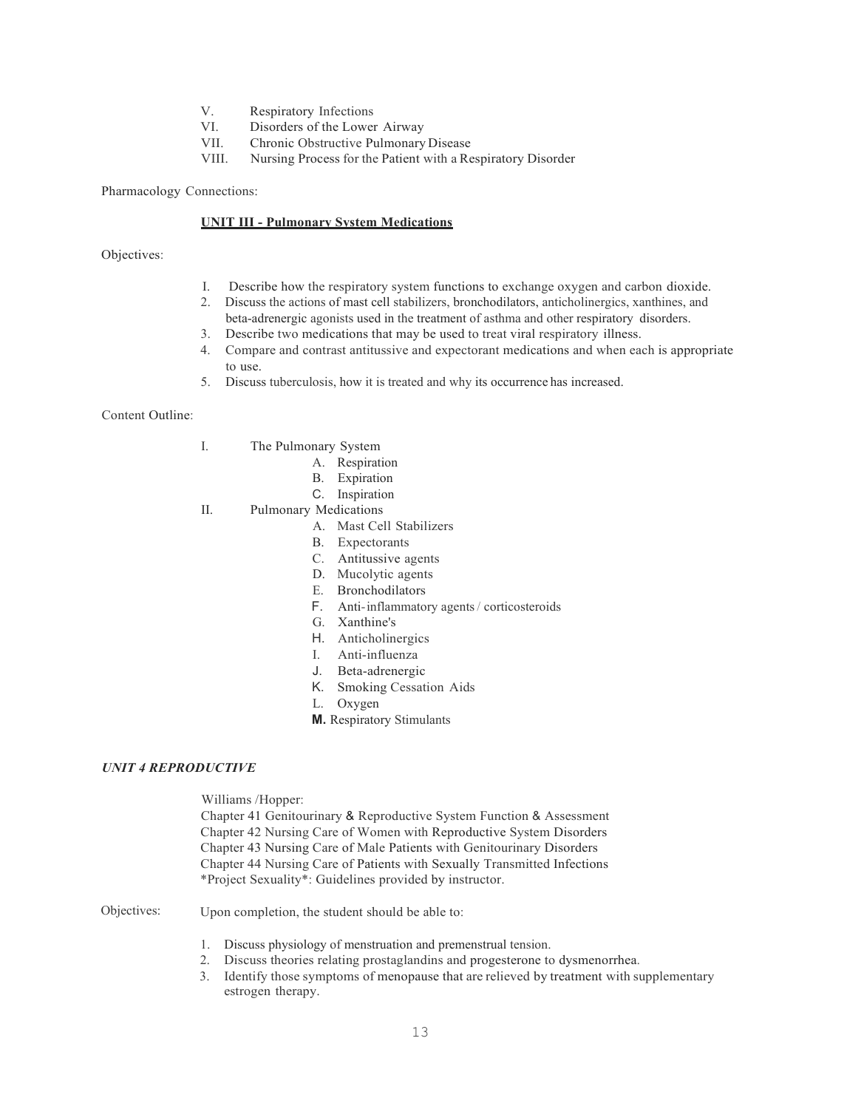- V. Respiratory Infections<br>VI. Disorders of the Lowe
- VI. Disorders of the Lower Airway<br>VII Chronic Obstructive Pulmonary
- Chronic Obstructive Pulmonary Disease
- VIII. Nursing Process for the Patient with a Respiratory Disorder

Pharmacology Connections:

# **UNIT III - Pulmonary System Medications**

#### Objectives:

- I. Describe how the respiratory system functions to exchange oxygen and carbon dioxide.
- 2. Discuss the actions of mast cell stabilizers, bronchodilators, anticholinergics, xanthines, and
- beta-adrenergic agonists used in the treatment of asthma and other respiratory disorders. 3. Describe two medications that may be used to treat viral respiratory illness.
- 4. Compare and contrast antitussive and expectorant medications and when each is appropriate
	- to use.
- 5. Discuss tuberculosis, how it is treated and why its occurrence has increased.

## Content Outline:

- I. The Pulmonary System
	- A. Respiration
	- B. Expiration
	- C. Inspiration
- II. Pulmonary Medications
	- A. Mast Cell Stabilizers
	- B. Expectorants
	- C. Antitussive agents
	- D. Mucolytic agents
	- E. Bronchodilators
	- F. Anti-inflammatory agents/ corticosteroids
	- G. Xanthine's
	- H. Anticholinergics
	- I. Anti-influenza
	- J. Beta-adrenergic
	- K. Smoking Cessation Aids
	- L. Oxygen
	- **M.** Respiratory Stimulants

### *UNIT 4 REPRODUCTIVE*

Williams /Hopper:

Chapter 41 Genitourinary & Reproductive System Function & Assessment Chapter 42 Nursing Care of Women with Reproductive System Disorders Chapter 43 Nursing Care of Male Patients with Genitourinary Disorders Chapter 44 Nursing Care of Patients with Sexually Transmitted Infections \*Project Sexuality\*: Guidelines provided by instructor.

Objectives: Upon completion, the student should be able to:

- 1. Discuss physiology of menstruation and premenstrual tension.
- 2. Discuss theories relating prostaglandins and progesterone to dysmenorrhea.
- 3. Identify those symptoms of menopause that are relieved by treatment with supplementary estrogen therapy.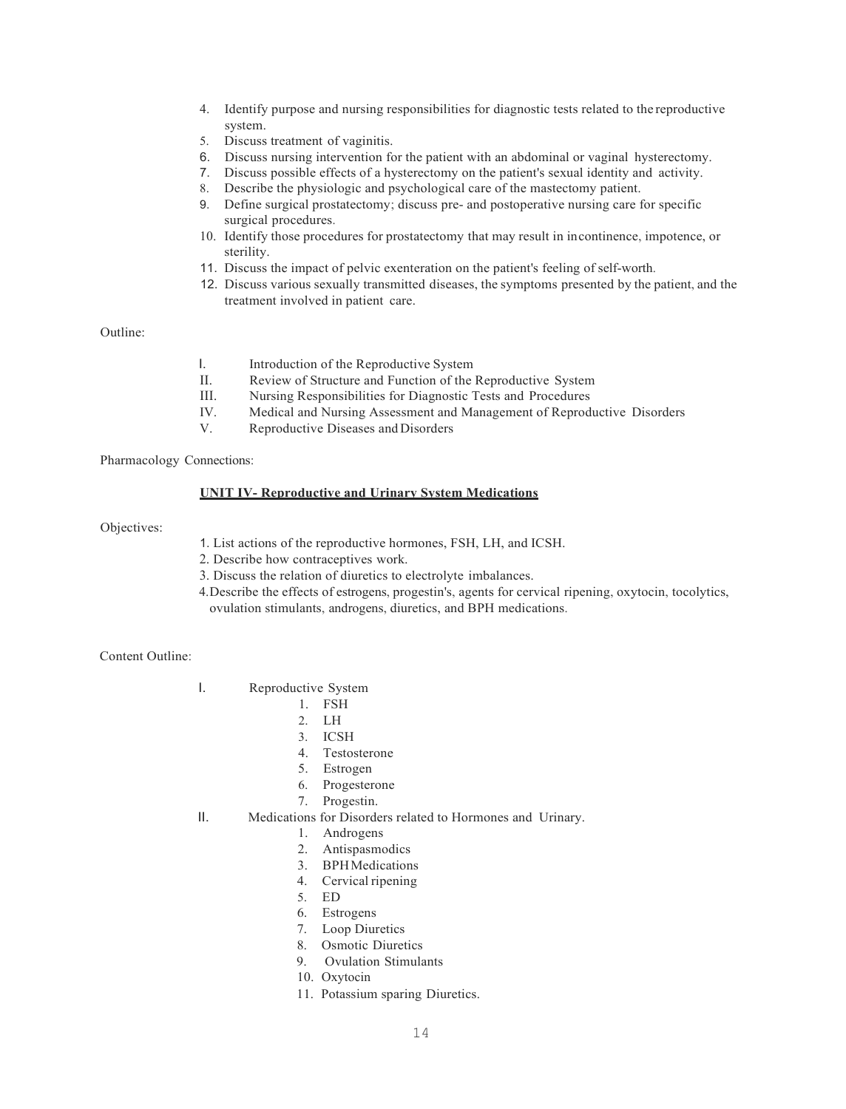- 4. Identify purpose and nursing responsibilities for diagnostic tests related to the reproductive system.
- 5. Discuss treatment of vaginitis.
- 6. Discuss nursing intervention for the patient with an abdominal or vaginal hysterectomy.
- 7. Discuss possible effects of a hysterectomy on the patient's sexual identity and activity.
- 8. Describe the physiologic and psychological care of the mastectomy patient.
- 9. Define surgical prostatectomy; discuss pre- and postoperative nursing care for specific surgical procedures.
- 10. Identify those procedures for prostatectomy that may result in incontinence, impotence, or sterility.
- 11. Discuss the impact of pelvic exenteration on the patient's feeling of self-worth.
- 12. Discuss various sexually transmitted diseases, the symptoms presented by the patient, and the treatment involved in patient care.

Outline:

- I. Introduction of the Reproductive System
- II. Review of Structure and Function of the Reproductive System
- III. Nursing Responsibilities for Diagnostic Tests and Procedures
- IV. Medical and Nursing Assessment and Management of Reproductive Disorders
- Reproductive Diseases and Disorders

Pharmacology Connections:

# **UNIT IV- Reproductive and Urinary System Medications**

Objectives:

- 1. List actions of the reproductive hormones, FSH, LH, and ICSH.
- 2. Describe how contraceptives work.
- 3. Discuss the relation of diuretics to electrolyte imbalances.
- 4.Describe the effects of estrogens, progestin's, agents for cervical ripening, oxytocin, tocolytics, ovulation stimulants, androgens, diuretics, and BPH medications.

Content Outline:

- I. Reproductive System
	- 1. FSH
	- 2. LH
	- 3. ICSH
	- 4. Testosterone
	- 5. Estrogen
	- 6. Progesterone
	- 7. Progestin.
- II. Medications for Disorders related to Hormones and Urinary.
	- 1. Androgens
	- 2. Antispasmodics
	- 3. BPHMedications
	- 4. Cervical ripening
	- 5. ED
	- 6. Estrogens
	- 7. Loop Diuretics
	- 8. Osmotic Diuretics
	- 9. Ovulation Stimulants
	- 10. Oxytocin
	- 11. Potassium sparing Diuretics.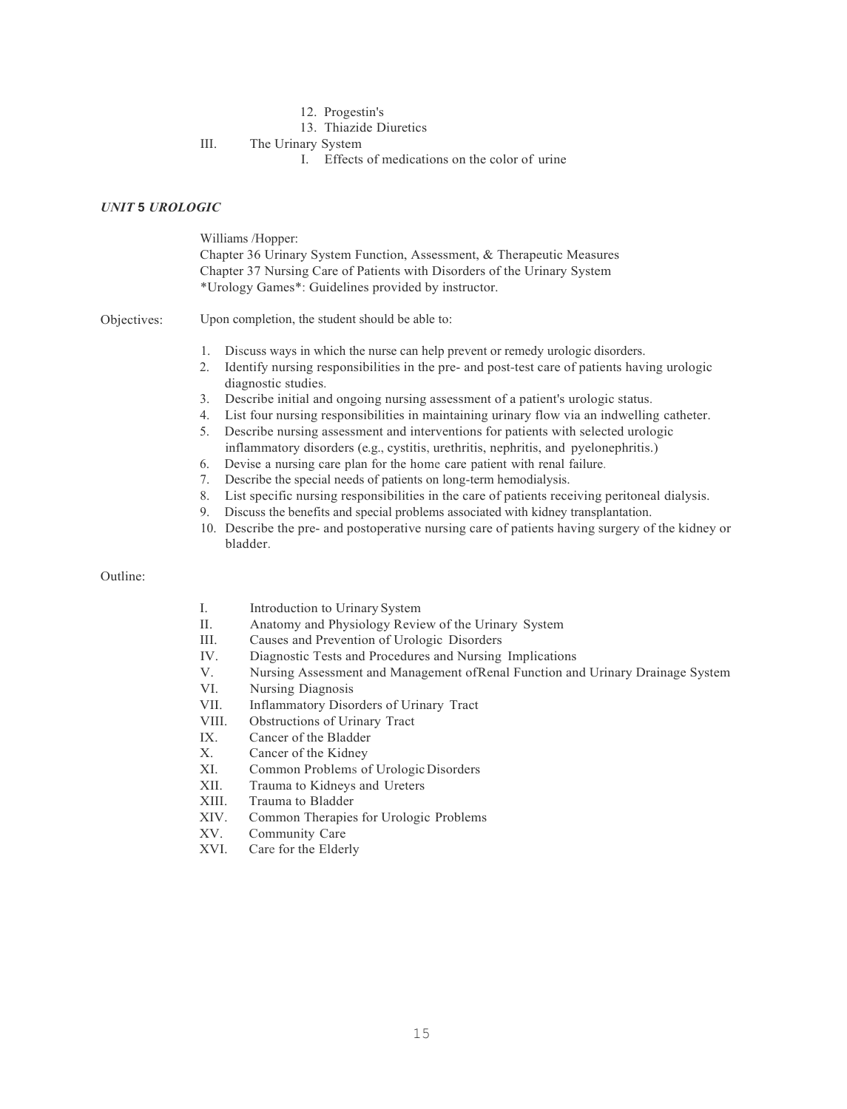- 12. Progestin's
- 13. Thiazide Diuretics

III. The Urinary System

I. Effects of medications on the color of urine

# *UNIT* **5** *UROLOGIC*

Williams /Hopper: Chapter 36 Urinary System Function, Assessment, & Therapeutic Measures Chapter 37 Nursing Care of Patients with Disorders of the Urinary System \*Urology Games\*: Guidelines provided by instructor.

Objectives: Upon completion, the student should be able to:

- 1. Discuss ways in which the nurse can help prevent or remedy urologic disorders.
- 2. Identify nursing responsibilities in the pre- and post-test care of patients having urologic diagnostic studies.
- 3. Describe initial and ongoing nursing assessment of a patient's urologic status.
- 4. List four nursing responsibilities in maintaining urinary flow via an indwelling catheter.
- 5. Describe nursing assessment and interventions for patients with selected urologic inflammatory disorders (e.g., cystitis, urethritis, nephritis, and pyelonephritis.)
- 6. Devise a nursing care plan for the home care patient with renal failure.
- 7. Describe the special needs of patients on long-term hemodialysis.
- 8. List specific nursing responsibilities in the care of patients receiving peritoneal dialysis.
- 9. Discuss the benefits and special problems associated with kidney transplantation.
- 10. Describe the pre- and postoperative nursing care of patients having surgery of the kidney or bladder.

## Outline:

- I. Introduction to Urinary System
- II. Anatomy and Physiology Review of the Urinary System
- III. Causes and Prevention of Urologic Disorders
- IV. Diagnostic Tests and Procedures and Nursing Implications
- V. Nursing Assessment and Management ofRenal Function and Urinary Drainage System
- VI. Nursing Diagnosis
- VII. Inflammatory Disorders of Urinary Tract
- VIII. Obstructions of Urinary Tract
- IX. Cancer of the Bladder<br>X. Cancer of the Kidney
- Cancer of the Kidney
- XI. Common Problems of Urologic Disorders<br>XII Trauma to Kidneys and Ureters
- Trauma to Kidneys and Ureters
- XIII. Trauma to Bladder
- XIV. Common Therapies for Urologic Problems
- XV. Community Care
- XVI. Care for the Elderly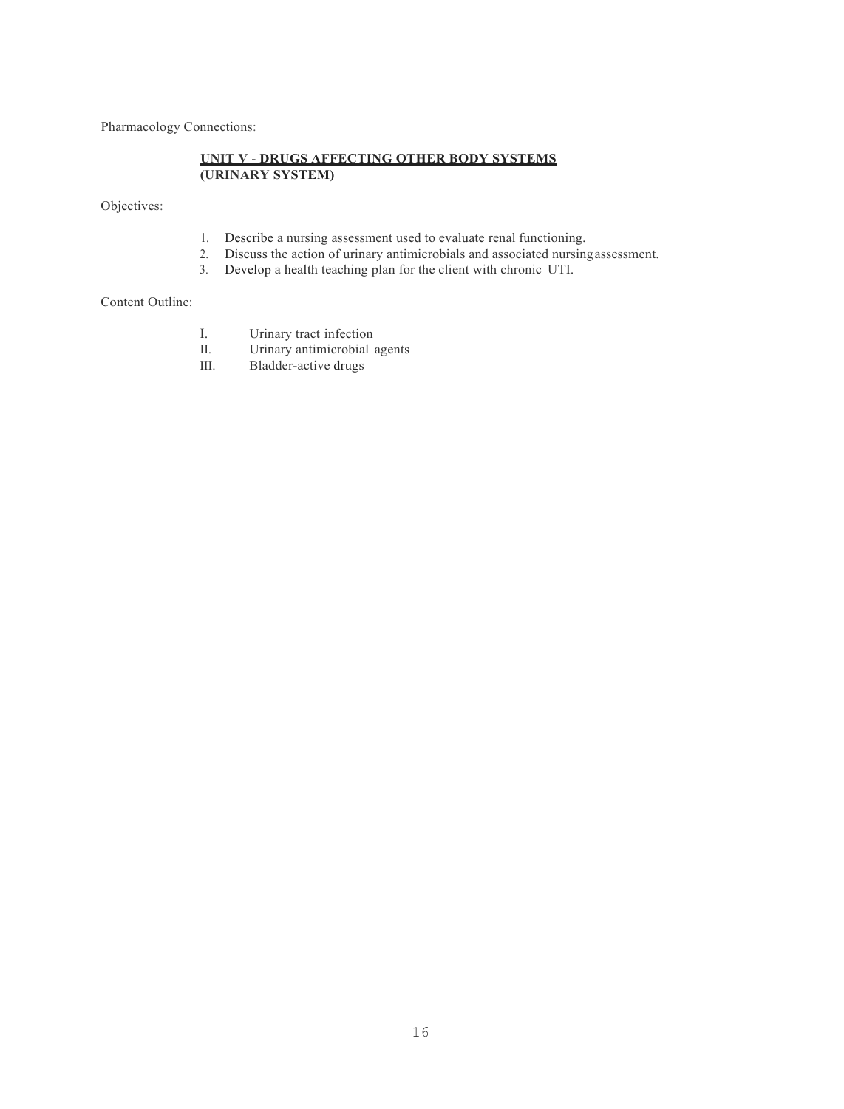Pharmacology Connections:

# **UNIT V** - **DRUGS AFFECTING OTHER BODY SYSTEMS (URINARY SYSTEM)**

Objectives:

- 1. Describe a nursing assessment used to evaluate renal functioning.<br>2. Discuss the action of urinary antimicrobials and associated nursing
- Discuss the action of urinary antimicrobials and associated nursing assessment.
- 3. Develop a health teaching plan for the client with chronic UTI.

# Content Outline:

- I. Urinary tract infection<br>II. Urinary antimicrobial
- II. Urinary antimicrobial agents<br>III. Bladder-active drugs
- Bladder-active drugs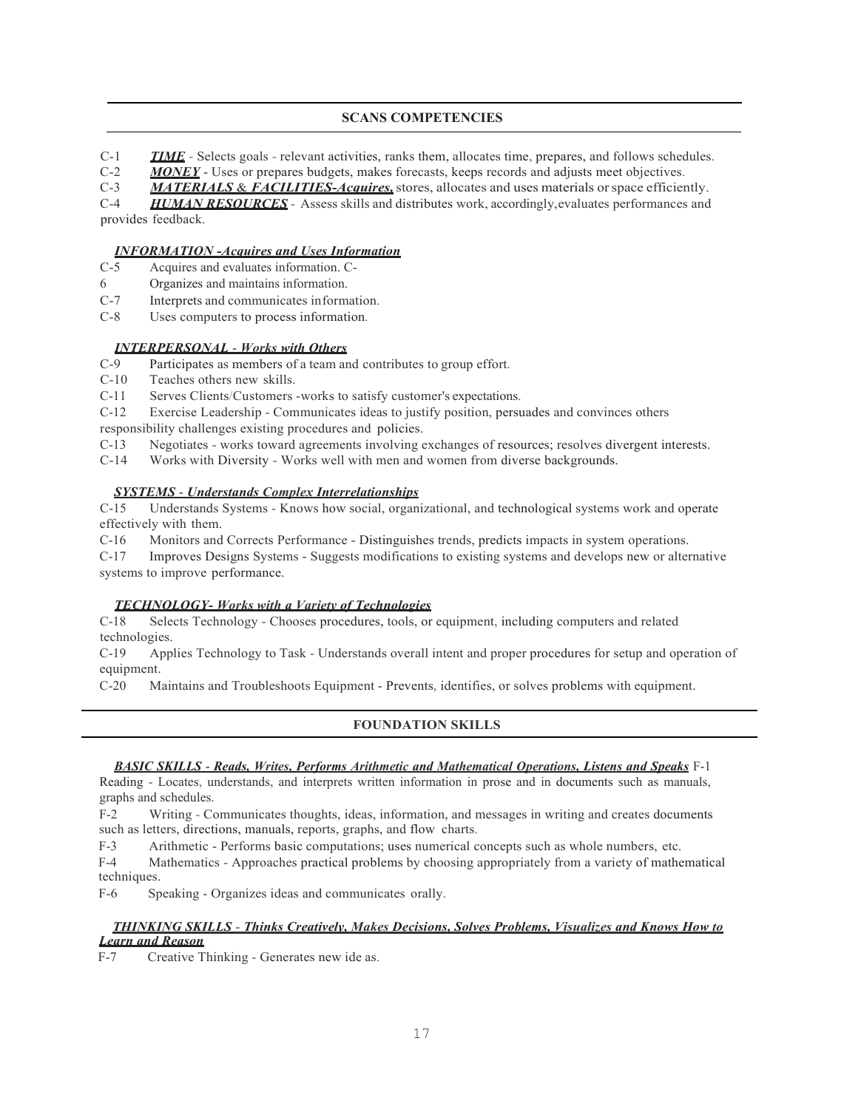# **SCANS COMPETENCIES**

C-1 *TIME* - Selects goals - relevant activities, ranks them, allocates time, prepares, and follows schedules.<br>C-2 *MONEY* - Uses or prepares budgets, makes forecasts, keeps records and adjusts meet objectives.

C-2 *MONEY* - Uses or prepares budgets, makes forecasts, keeps records and adjusts meet objectives.<br>C-3 *MATERIALS & FACILITIES-Acquires*, stores, allocates and uses materials or space efficier

MATERIALS & FACILITIES-Acquires, stores, allocates and uses materials or space efficiently.

C-4 *HUMAN RESOURCES* - Assess skills and distributes work, accordingly,evaluates performances and provides feedback.

# *INFORMATION -Acquires and Uses Information*

- C-5 Acquires and evaluates information. C-
- 6 Organizes and maintains information.
- C-7 Interprets and communicates information.
- C-8 Uses computers to process information.

# *INTERPERSONAL* - *Works with Others*

- C-9 Participates as members of a team and contributes to group effort.
- C-10 Teaches others new skills.

C-11 Serves Clients/Customers -works to satisfy customer's expectations.

C-12 Exercise Leadership - Communicates ideas to justify position, persuades and convinces others responsibility challenges existing procedures and policies.

C-13 Negotiates - works toward agreements involving exchanges of resources; resolves divergent interests.<br>C-14 Works with Diversity - Works well with men and women from diverse backgrounds.

Works with Diversity - Works well with men and women from diverse backgrounds.

# *SYSTEMS* - *Understands Complex Interrelationships*

C-15 Understands Systems - Knows how social, organizational, and technological systems work and operate effectively with them.

C-16 Monitors and Corrects Performance - Distinguishes trends, predicts impacts in system operations.

C-17 Improves Designs Systems - Suggests modifications to existing systems and develops new or alternative systems to improve performance.

# *TECHNOLOGY- Works with a Variety of Technologies*

C-18 Selects Technology - Chooses procedures, tools, or equipment, including computers and related technologies.

C-19 Applies Technology to Task - Understands overall intent and proper procedures for setup and operation of equipment.

C-20 Maintains and Troubleshoots Equipment - Prevents, identifies, or solves problems with equipment.

# **FOUNDATION SKILLS**

## *BASIC SKILLS* - *Reads, Writes, Performs Arithmetic and Mathematical Operations, Listens and Speaks* F-1

Reading - Locates, understands, and interprets written information in prose and in documents such as manuals, graphs and schedules.

F-2 Writing - Communicates thoughts, ideas, information, and messages in writing and creates documents such as letters, directions, manuals, reports, graphs, and flow charts.

F-3 Arithmetic - Performs basic computations; uses numerical concepts such as whole numbers, etc.

F-4 Mathematics - Approaches practical problems by choosing appropriately from a variety of mathematical techniques.

F-6 Speaking - Organizes ideas and communicates orally.

# *THINKING SKILLS* - *Thinks Creatively, Makes Decisions, Solves Problems, Visualizes and Knows How to Learn and Reason*

F-7 Creative Thinking - Generates new ide as.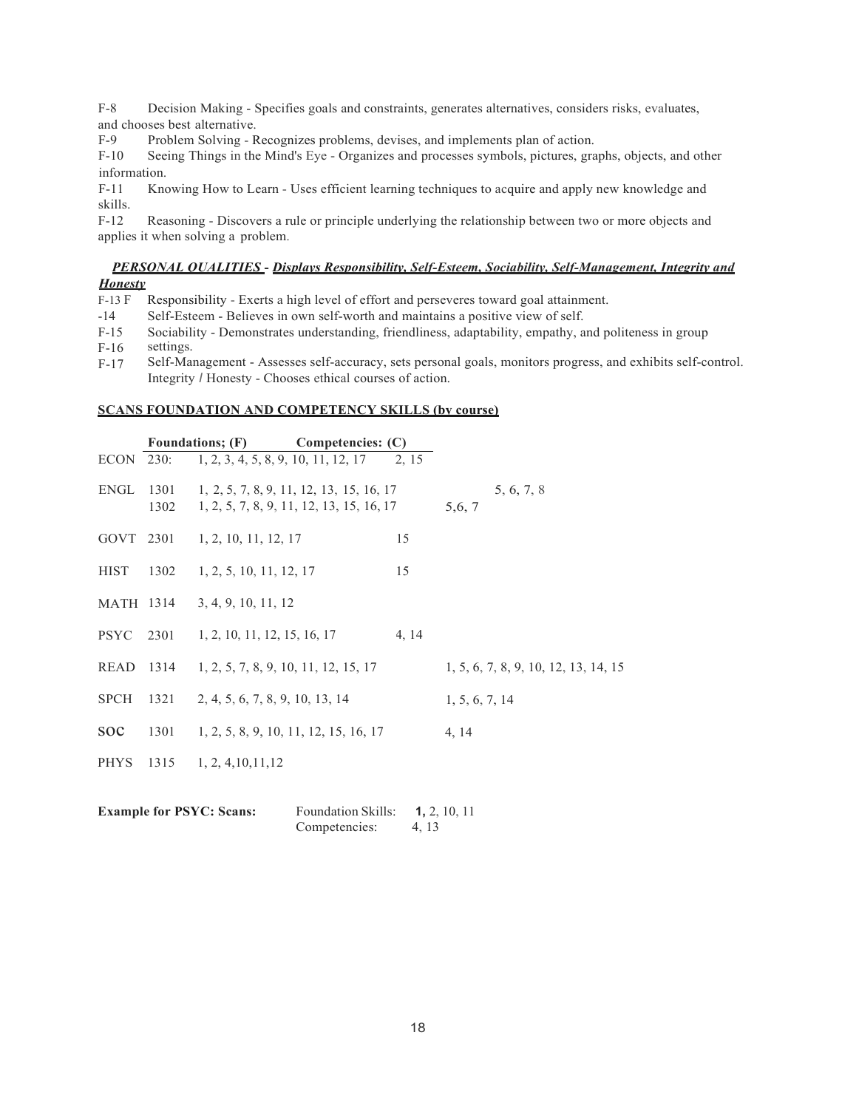F-8 Decision Making - Specifies goals and constraints, generates alternatives, considers risks, evaluates, and chooses best alternative.

F-9 Problem Solving - Recognizes problems, devises, and implements plan of action.<br>F-10 Seeing Things in the Mind's Eve - Organizes and processes symbols, pictures, gra

Seeing Things in the Mind's Eye - Organizes and processes symbols, pictures, graphs, objects, and other information.

F-11 Knowing How to Learn - Uses efficient learning techniques to acquire and apply new knowledge and skills.<br>F-12

Reasoning - Discovers a rule or principle underlying the relationship between two or more objects and applies it when solving a problem.

# *PERSONAL QUALITIES* **-** *Displays Responsibility, Self-Esteem, Sociability, Self-Management, Integrity and Honesty*

F-13 F Responsibility - Exerts a high level of effort and perseveres toward goal attainment.

- -14 Self-Esteem - Believes in own self-worth and maintains a positive view of self.
- F-15 Sociability - Demonstrates understanding, friendliness, adaptability, empathy, and politeness in group
- F-16 settings.
- F-17 Self-Management - Assesses self-accuracy, sets personal goals, monitors progress, and exhibits self-control. Integrity *I* Honesty - Chooses ethical courses of action.

## **SCANS FOUNDATION AND COMPETENCY SKILLS (by course)**

|                |           | Foundations; (F) Competencies: (C)                                                   |       |                                      |
|----------------|-----------|--------------------------------------------------------------------------------------|-------|--------------------------------------|
| ECON 230:      |           | 1, 2, 3, 4, 5, 8, 9, 10, 11, 12, 17                                                  | 2, 15 |                                      |
| ENGL 1301      | 1302      | 1, 2, 5, 7, 8, 9, 11, 12, 13, 15, 16, 17<br>1, 2, 5, 7, 8, 9, 11, 12, 13, 15, 16, 17 |       | 5, 6, 7, 8<br>5,6, 7                 |
|                |           | GOVT 2301 1, 2, 10, 11, 12, 17                                                       | 15    |                                      |
|                |           | HIST 1302 1, 2, 5, 10, 11, 12, 17                                                    | 15    |                                      |
|                | MATH 1314 | 3, 4, 9, 10, 11, 12                                                                  |       |                                      |
|                |           | PSYC 2301 1, 2, 10, 11, 12, 15, 16, 17                                               | 4, 14 |                                      |
| READ           |           | 1314 1, 2, 5, 7, 8, 9, 10, 11, 12, 15, 17                                            |       | 1, 5, 6, 7, 8, 9, 10, 12, 13, 14, 15 |
| <b>SPCH</b>    | 1321      | 2, 4, 5, 6, 7, 8, 9, 10, 13, 14                                                      |       | 1, 5, 6, 7, 14                       |
| <sub>SOC</sub> |           | 1301 1, 2, 5, 8, 9, 10, 11, 12, 15, 16, 17                                           |       | 4, 14                                |
| PHYS           |           | $1315$ 1, 2, 4, 10, 11, 12                                                           |       |                                      |
|                |           |                                                                                      |       |                                      |

| <b>Example for PSYC: Scans:</b> | <b>Foundation Skills:</b> | 1, 2, 10, 11 |  |
|---------------------------------|---------------------------|--------------|--|
|                                 | Competencies:             | 4, 13        |  |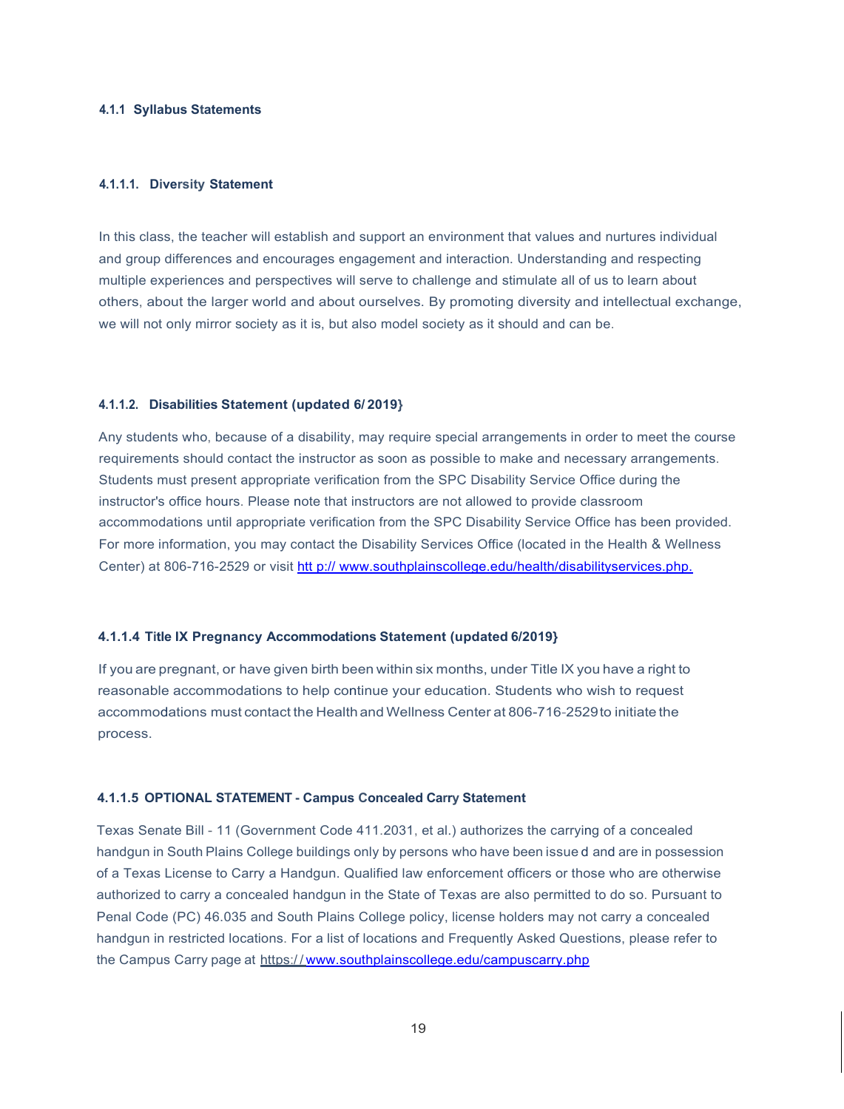# **4.1.1 Syllabus Statements**

#### **4.1.1.1. Diversity Statement**

In this class, the teacher will establish and support an environment that values and nurtures individual and group differences and encourages engagement and interaction. Understanding and respecting multiple experiences and perspectives will serve to challenge and stimulate all of us to learn about others, about the larger world and about ourselves. By promoting diversity and intellectual exchange, we will not only mirror society as it is, but also model society as it should and can be.

## **4.1.1.2. Disabilities Statement (updated 6/ 2019}**

Any students who, because of a disability, may require special arrangements in order to meet the course requirements should contact the instructor as soon as possible to make and necessary arrangements. Students must present appropriate verification from the SPC Disability Service Office during the instructor's office hours. Please note that instructors are not allowed to provide classroom accommodations until appropriate verification from the SPC Disability Service Office has been provided. For more information, you may contact the Disability Services Office (located in the Health & Wellness Center) at 806-716-2529 or visit htt p:// www.southplainscollege.edu/health/disabilityservices.php.

#### **4.1.1.4 Title IX Pregnancy Accommodations Statement (updated 6/2019}**

If you are pregnant, or have given birth been within six months, under Title IX you have a right to reasonable accommodations to help continue your education. Students who wish to request accommodations must contact the Health and Wellness Center at 806-716-2529to initiate the process.

#### **4.1.1.5 OPTIONAL STATEMENT - Campus Concealed Carry Statement**

Texas Senate Bill - 11 (Government Code 411.2031, et al.) authorizes the carrying of a concealed handgun in South Plains College buildings only by persons who have been issue d and are in possession of a Texas License to Carry a Handgun. Qualified law enforcement officers or those who are otherwise authorized to carry a concealed handgun in the State of Texas are also permitted to do so. Pursuant to Penal Code (PC) 46.035 and South Plains College policy, license holders may not carry a concealed handgun in restricted locations. For a list of locations and Frequently Asked Questions, please refer to the Campus Carry page at https://[www.southplainscollege.edu/campuscarry.php](http://www.southplainscollege.edu/campuscarry.php)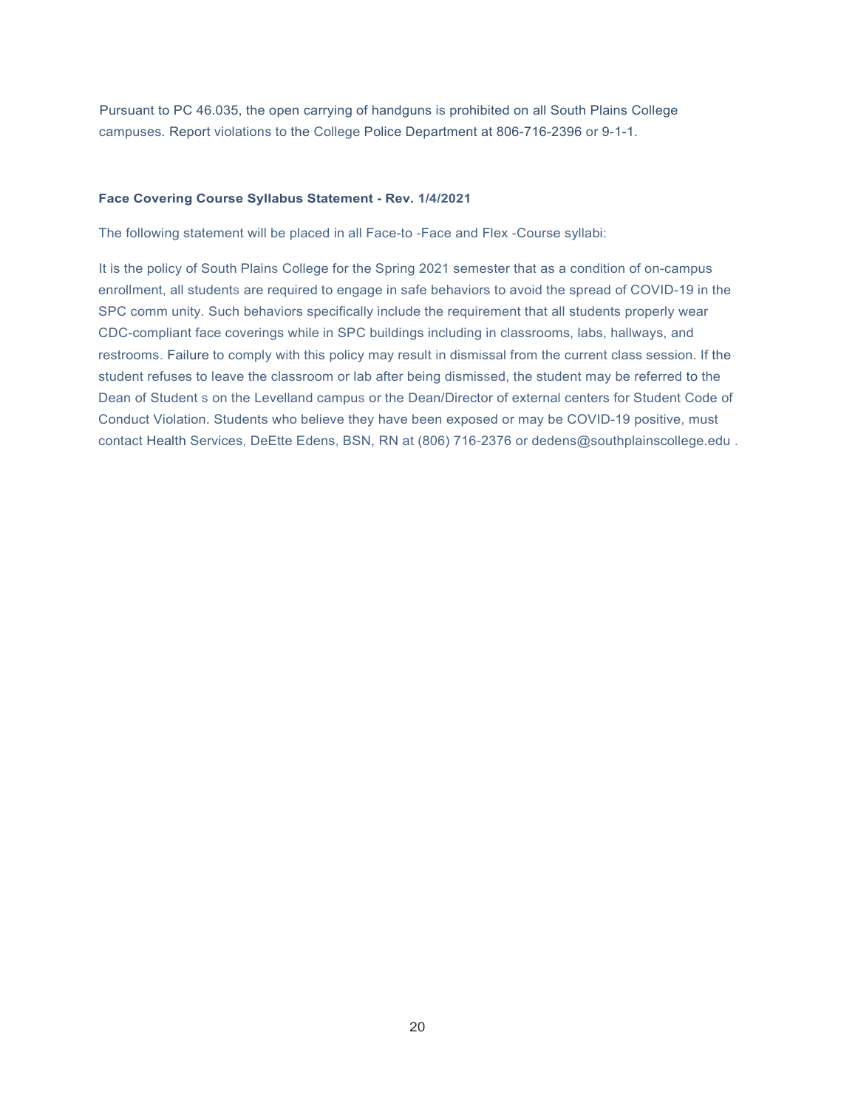Pursuant to PC 46.035, the open carrying of handguns is prohibited on all South Plains College campuses. Report violations to the College Police Department at 806-716-2396 or 9-1-1.

## **Face Covering Course Syllabus Statement - Rev. 1/4/2021**

The following statement will be placed in all Face-to -Face and Flex -Course syllabi:

It is the policy of South Plains College for the Spring 2021 semester that as a condition of on-campus enrollment, all students are required to engage in safe behaviors to avoid the spread of COVID-19 in the SPC comm unity. Such behaviors specifically include the requirement that all students properly wear CDC-compliant face coverings while in SPC buildings including in classrooms, labs, hallways, and restrooms. Failure to comply with this policy may result in dismissal from the current class session. If the student refuses to leave the classroom or lab after being dismissed, the student may be referred to the Dean of Student s on the Levelland campus or the Dean/Director of external centers for Student Code of Conduct Violation. Students who believe they have been exposed or may be COVID-19 positive, must contact Health Services, DeEtte Edens, BSN, RN at (806) 716-2376 or dedens@southplainscollege.edu.